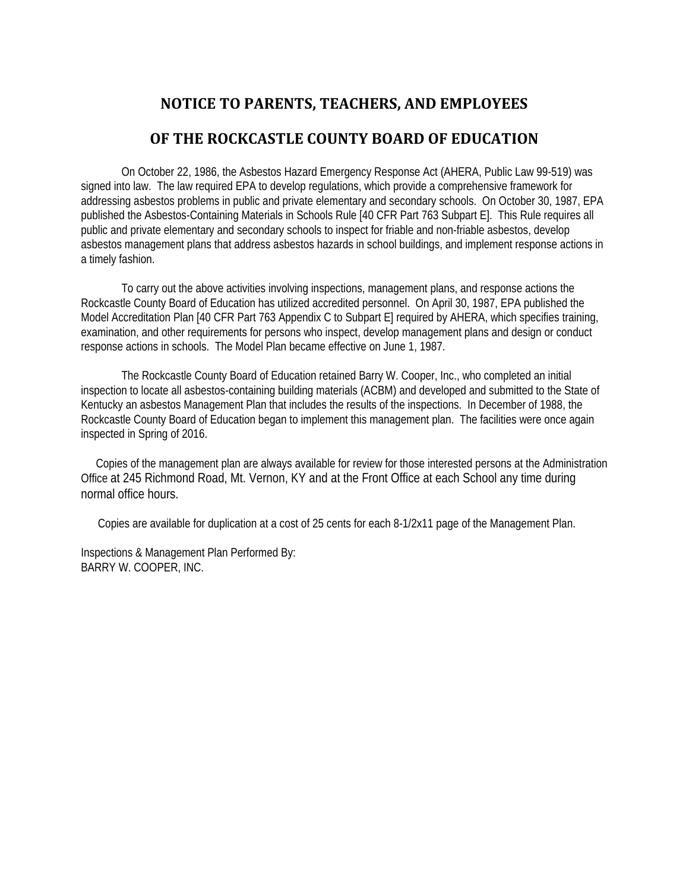# **NOTICE TO PARENTS, TEACHERS, AND EMPLOYEES**

## **OF THE ROCKCASTLE COUNTY BOARD OF EDUCATION**

On October 22, 1986, the Asbestos Hazard Emergency Response Act (AHERA, Public Law 99-519) was signed into law. The law required EPA to develop regulations, which provide a comprehensive framework for addressing asbestos problems in public and private elementary and secondary schools. On October 30, 1987, EPA published the Asbestos-Containing Materials in Schools Rule [40 CFR Part 763 Subpart E]. This Rule requires all public and private elementary and secondary schools to inspect for friable and non-friable asbestos, develop asbestos management plans that address asbestos hazards in school buildings, and implement response actions in a timely fashion.

To carry out the above activities involving inspections, management plans, and response actions the Rockcastle County Board of Education has utilized accredited personnel. On April 30, 1987, EPA published the Model Accreditation Plan [40 CFR Part 763 Appendix C to Subpart E] required by AHERA, which specifies training, examination, and other requirements for persons who inspect, develop management plans and design or conduct response actions in schools. The Model Plan became effective on June 1, 1987.

The Rockcastle County Board of Education retained Barry W. Cooper, Inc., who completed an initial inspection to locate all asbestos-containing building materials (ACBM) and developed and submitted to the State of Kentucky an asbestos Management Plan that includes the results of the inspections. In December of 1988, the Rockcastle County Board of Education began to implement this management plan. The facilities were once again inspected in Spring of 2016.

Copies of the management plan are always available for review for those interested persons at the Administration Office at 245 Richmond Road, Mt. Vernon, KY and at the Front Office at each School any time during normal office hours.

Copies are available for duplication at a cost of 25 cents for each 8-1/2x11 page of the Management Plan.

Inspections & Management Plan Performed By: BARRY W. COOPER, INC.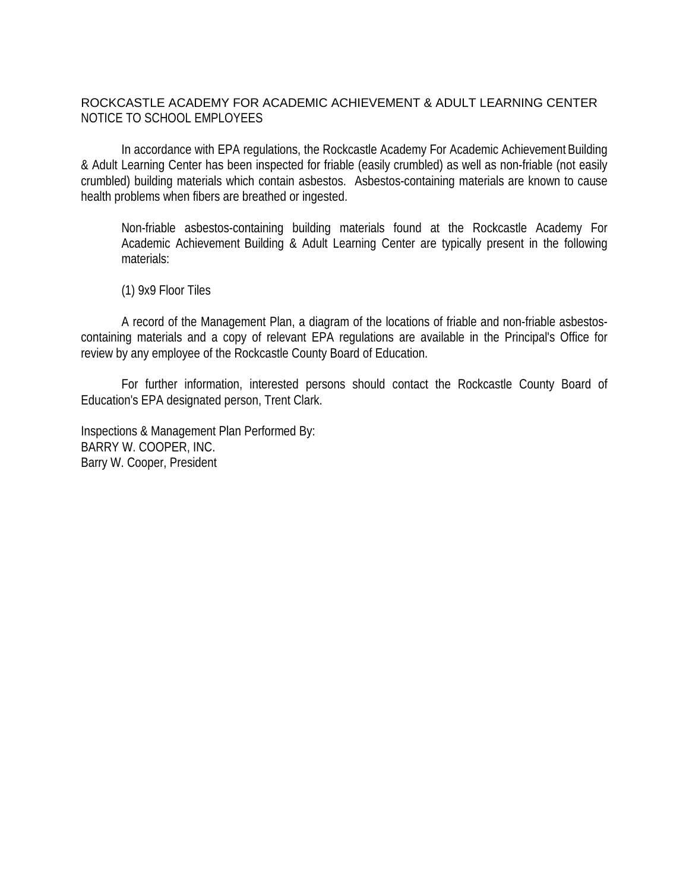### ROCKCASTLE ACADEMY FOR ACADEMIC ACHIEVEMENT & ADULT LEARNING CENTER NOTICE TO SCHOOL EMPLOYEES

In accordance with EPA regulations, the Rockcastle Academy For Academic Achievement Building & Adult Learning Center has been inspected for friable (easily crumbled) as well as non-friable (not easily crumbled) building materials which contain asbestos. Asbestos-containing materials are known to cause health problems when fibers are breathed or ingested.

Non-friable asbestos-containing building materials found at the Rockcastle Academy For Academic Achievement Building & Adult Learning Center are typically present in the following materials:

(1) 9x9 Floor Tiles

A record of the Management Plan, a diagram of the locations of friable and non-friable asbestoscontaining materials and a copy of relevant EPA regulations are available in the Principal's Office for review by any employee of the Rockcastle County Board of Education.

For further information, interested persons should contact the Rockcastle County Board of Education's EPA designated person, Trent Clark.

Inspections & Management Plan Performed By: BARRY W. COOPER, INC. Barry W. Cooper, President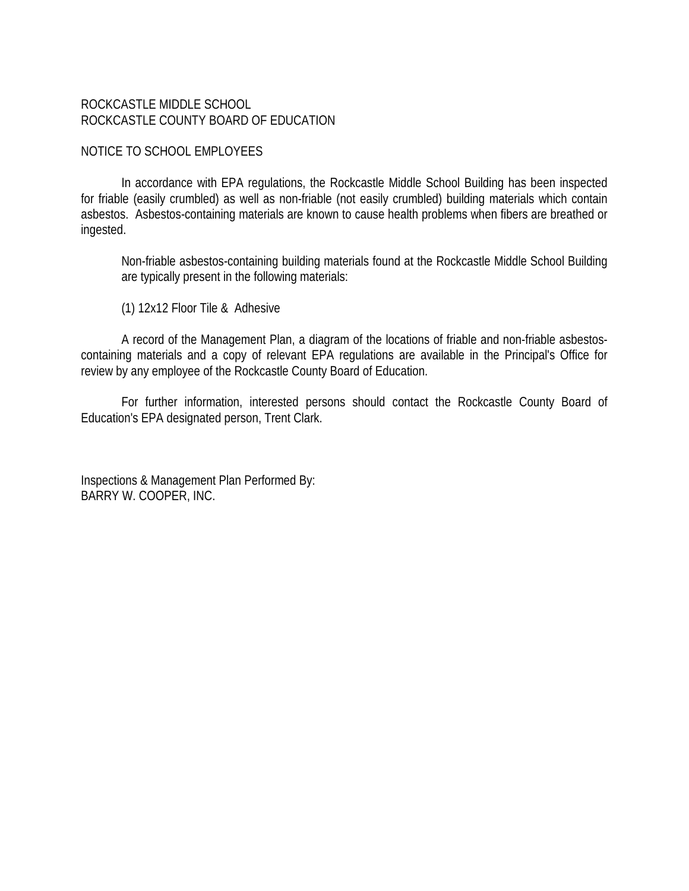### ROCKCASTLE MIDDLE SCHOOL ROCKCASTLE COUNTY BOARD OF EDUCATION

#### NOTICE TO SCHOOL EMPLOYEES

In accordance with EPA regulations, the Rockcastle Middle School Building has been inspected for friable (easily crumbled) as well as non-friable (not easily crumbled) building materials which contain asbestos. Asbestos-containing materials are known to cause health problems when fibers are breathed or ingested.

Non-friable asbestos-containing building materials found at the Rockcastle Middle School Building are typically present in the following materials:

(1) 12x12 Floor Tile & Adhesive

A record of the Management Plan, a diagram of the locations of friable and non-friable asbestoscontaining materials and a copy of relevant EPA regulations are available in the Principal's Office for review by any employee of the Rockcastle County Board of Education.

For further information, interested persons should contact the Rockcastle County Board of Education's EPA designated person, Trent Clark.

Inspections & Management Plan Performed By: BARRY W. COOPER, INC.